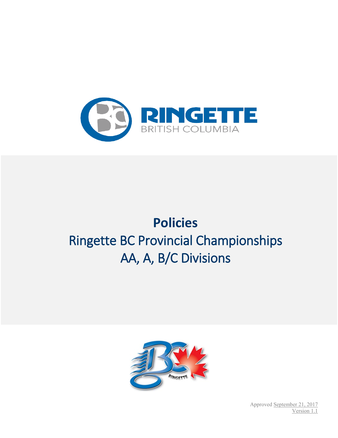

# **Policies** Ringette BC Provincial Championships AA, A, B/C Divisions



Approved September 21, 2017 Version 1.1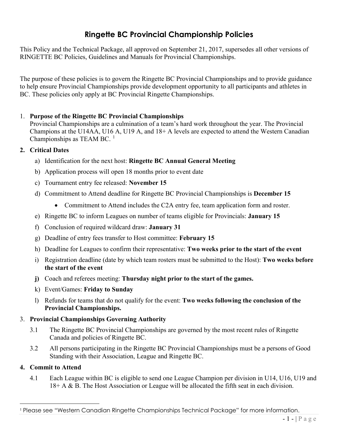# **Ringette BC Provincial Championship Policies**

This Policy and the Technical Package, all approved on September 21, 2017, supersedes all other versions of RINGETTE BC Policies, Guidelines and Manuals for Provincial Championships.

The purpose of these policies is to govern the Ringette BC Provincial Championships and to provide guidance to help ensure Provincial Championships provide development opportunity to all participants and athletes in BC. These policies only apply at BC Provincial Ringette Championships.

# 1. **Purpose of the Ringette BC Provincial Championships**

Provincial Championships are a culmination of a team's hard work throughout the year. The Provincial Champions at the U14AA, U16 A, U19 A, and 18+ A levels are expected to attend the Western Canadian Championships as TEAM BC.  $<sup>1</sup>$  $<sup>1</sup>$  $<sup>1</sup>$ </sup>

#### **2. Critical Dates**

- a) Identification for the next host: **Ringette BC Annual General Meeting**
- b) Application process will open 18 months prior to event date
- c) Tournament entry fee released: **November 15**
- d) Commitment to Attend deadline for Ringette BC Provincial Championships is **December 15**
	- Commitment to Attend includes the C2A entry fee, team application form and roster.
- e) Ringette BC to inform Leagues on number of teams eligible for Provincials: **January 15**
- f) Conclusion of required wildcard draw: **January 31**
- g) Deadline of entry fees transfer to Host committee: **February 15**
- h) Deadline for Leagues to confirm their representative: **Two weeks prior to the start of the event**
- i) Registration deadline (date by which team rosters must be submitted to the Host): **Two weeks before the start of the event**
- **j)** Coach and referees meeting: **Thursday night prior to the start of the games.**
- k) Event/Games: **Friday to Sunday**
- l) Refunds for teams that do not qualify for the event: **Two weeks following the conclusion of the Provincial Championships.**

# 3. **Provincial Championships Governing Authority**

- 3.1 The Ringette BC Provincial Championships are governed by the most recent rules of Ringette Canada and policies of Ringette BC.
- 3.2 All persons participating in the Ringette BC Provincial Championships must be a persons of Good Standing with their Association, League and Ringette BC.

# **4. Commit to Attend**

4.1 Each League within BC is eligible to send one League Champion per division in U14, U16, U19 and 18+ A & B. The Host Association or League will be allocated the fifth seat in each division.

<span id="page-1-0"></span><sup>&</sup>lt;sup>1</sup> Please see "Western Canadian Ringette Championships Technical Package" for more information.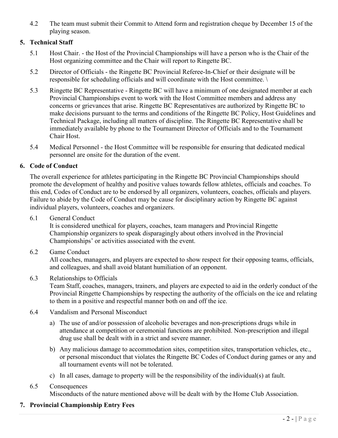4.2 The team must submit their Commit to Attend form and registration cheque by December 15 of the playing season.

# **5. Technical Staff**

- 5.1 Host Chair. the Host of the Provincial Championships will have a person who is the Chair of the Host organizing committee and the Chair will report to Ringette BC.
- 5.2 Director of Officials the Ringette BC Provincial Referee-In-Chief or their designate will be responsible for scheduling officials and will coordinate with the Host committee. \
- 5.3 Ringette BC Representative Ringette BC will have a minimum of one designated member at each Provincial Championships event to work with the Host Committee members and address any concerns or grievances that arise. Ringette BC Representatives are authorized by Ringette BC to make decisions pursuant to the terms and conditions of the Ringette BC Policy, Host Guidelines and Technical Package, including all matters of discipline. The Ringette BC Representative shall be immediately available by phone to the Tournament Director of Officials and to the Tournament Chair Host.
- 5.4 Medical Personnel the Host Committee will be responsible for ensuring that dedicated medical personnel are onsite for the duration of the event.

#### **6. Code of Conduct**

The overall experience for athletes participating in the Ringette BC Provincial Championships should promote the development of healthy and positive values towards fellow athletes, officials and coaches. To this end, Codes of Conduct are to be endorsed by all organizers, volunteers, coaches, officials and players. Failure to abide by the Code of Conduct may be cause for disciplinary action by Ringette BC against individual players, volunteers, coaches and organizers.

6.1 General Conduct

It is considered unethical for players, coaches, team managers and Provincial Ringette Championship organizers to speak disparagingly about others involved in the Provincial Championships' or activities associated with the event.

6.2 Game Conduct

All coaches, managers, and players are expected to show respect for their opposing teams, officials, and colleagues, and shall avoid blatant humiliation of an opponent.

6.3 Relationships to Officials

Team Staff, coaches, managers, trainers, and players are expected to aid in the orderly conduct of the Provincial Ringette Championships by respecting the authority of the officials on the ice and relating to them in a positive and respectful manner both on and off the ice.

- 6.4 Vandalism and Personal Misconduct
	- a) The use of and/or possession of alcoholic beverages and non-prescriptions drugs while in attendance at competition or ceremonial functions are prohibited. Non-prescription and illegal drug use shall be dealt with in a strict and severe manner.
	- b) Any malicious damage to accommodation sites, competition sites, transportation vehicles, etc., or personal misconduct that violates the Ringette BC Codes of Conduct during games or any and all tournament events will not be tolerated.
	- c) In all cases, damage to property will be the responsibility of the individual(s) at fault.

# 6.5 Consequences

Misconducts of the nature mentioned above will be dealt with by the Home Club Association.

# **7. Provincial Championship Entry Fees**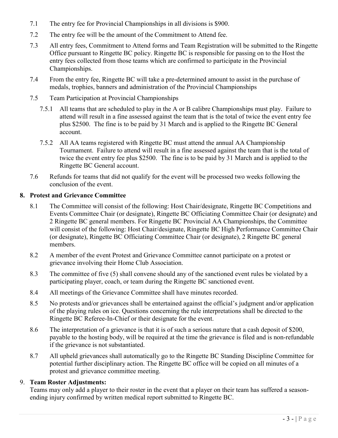- 7.1 The entry fee for Provincial Championships in all divisions is \$900.
- 7.2 The entry fee will be the amount of the Commitment to Attend fee.
- 7.3 All entry fees, Commitment to Attend forms and Team Registration will be submitted to the Ringette Office pursuant to Ringette BC policy. Ringette BC is responsible for passing on to the Host the entry fees collected from those teams which are confirmed to participate in the Provincial Championships.
- 7.4 From the entry fee, Ringette BC will take a pre-determined amount to assist in the purchase of medals, trophies, banners and administration of the Provincial Championships
- 7.5 Team Participation at Provincial Championships
	- 7.5.1 All teams that are scheduled to play in the A or B calibre Championships must play. Failure to attend will result in a fine assessed against the team that is the total of twice the event entry fee plus \$2500. The fine is to be paid by 31 March and is applied to the Ringette BC General account.
	- 7.5.2 All AA teams registered with Ringette BC must attend the annual AA Championship Tournament. Failure to attend will result in a fine assessed against the team that is the total of twice the event entry fee plus \$2500. The fine is to be paid by 31 March and is applied to the Ringette BC General account.
- 7.6 Refunds for teams that did not qualify for the event will be processed two weeks following the conclusion of the event.

## **8. Protest and Grievance Committee**

- 8.1 The Committee will consist of the following: Host Chair/designate, Ringette BC Competitions and Events Committee Chair (or designate), Ringette BC Officiating Committee Chair (or designate) and 2 Ringette BC general members. For Ringette BC Provincial AA Championships, the Committee will consist of the following: Host Chair/designate, Ringette BC High Performance Committee Chair (or designate), Ringette BC Officiating Committee Chair (or designate), 2 Ringette BC general members.
- 8.2 A member of the event Protest and Grievance Committee cannot participate on a protest or grievance involving their Home Club Association.
- 8.3 The committee of five (5) shall convene should any of the sanctioned event rules be violated by a participating player, coach, or team during the Ringette BC sanctioned event.
- 8.4 All meetings of the Grievance Committee shall have minutes recorded.
- 8.5 No protests and/or grievances shall be entertained against the official's judgment and/or application of the playing rules on ice. Questions concerning the rule interpretations shall be directed to the Ringette BC Referee-In-Chief or their designate for the event.
- 8.6 The interpretation of a grievance is that it is of such a serious nature that a cash deposit of \$200, payable to the hosting body, will be required at the time the grievance is filed and is non-refundable if the grievance is not substantiated.
- 8.7 All upheld grievances shall automatically go to the Ringette BC Standing Discipline Committee for potential further disciplinary action. The Ringette BC office will be copied on all minutes of a protest and grievance committee meeting.

# 9. **Team Roster Adjustments:**

Teams may only add a player to their roster in the event that a player on their team has suffered a seasonending injury confirmed by written medical report submitted to Ringette BC.